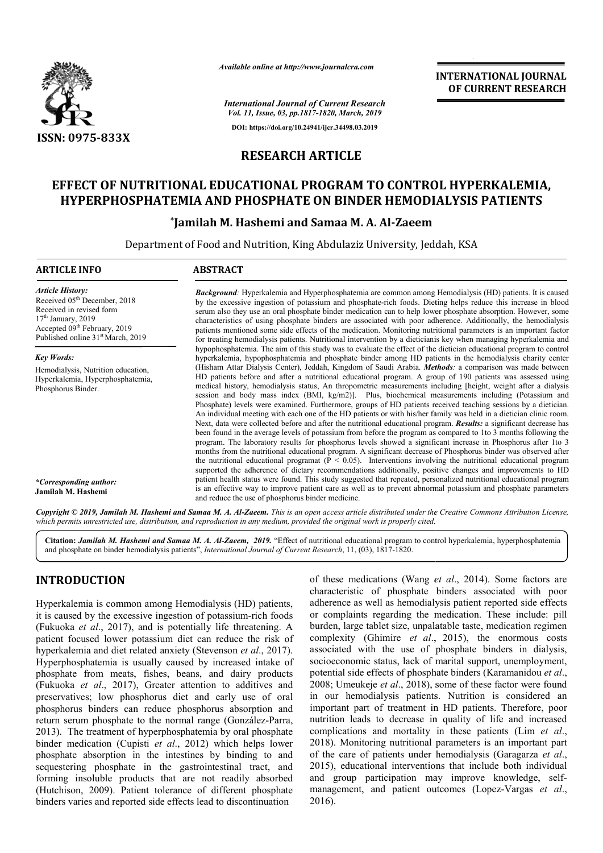

*Available online at http://www.journalcra.com*

*International Journal of Current Research Vol. 11, Issue, 03, pp.1817-1820, March, 2019* **DOI: https://doi.org/10.24941/ijcr.34498.03.2019**

**INTERNATIONAL JOURNAL OF CURRENT RESEARCH**

# **RESEARCH ARTICLE**

# **EFFECT OF NUTRITIONAL EDUCATIONAL PROGRAM TO CONTROL HYPERKALEMIA, HYPERPHOSPHATEMIA AND PHOSPHATE ON BINDER HEMODIALYSIS PATIENTS**

## **\*Jamilah M. Hashemi and Samaa M. A. Al-Zaeem**

Department of Food and Nutrition, King Abdulaziz University, Jeddah, Jeddah, KSA

| <b>ARTICLE INFO</b>                                                                                                                                                                                                  | <b>ABSTRACT</b>                                                                                                                                                                                                                                                                                                                                                                                                                                                                                                                                                                                                                                                                                                                                                                                                                                                                                                                                                                                                                                                                                                                                                                                                                                                                                                                                                                                                     |  |  |  |  |
|----------------------------------------------------------------------------------------------------------------------------------------------------------------------------------------------------------------------|---------------------------------------------------------------------------------------------------------------------------------------------------------------------------------------------------------------------------------------------------------------------------------------------------------------------------------------------------------------------------------------------------------------------------------------------------------------------------------------------------------------------------------------------------------------------------------------------------------------------------------------------------------------------------------------------------------------------------------------------------------------------------------------------------------------------------------------------------------------------------------------------------------------------------------------------------------------------------------------------------------------------------------------------------------------------------------------------------------------------------------------------------------------------------------------------------------------------------------------------------------------------------------------------------------------------------------------------------------------------------------------------------------------------|--|--|--|--|
| <b>Article History:</b><br>Received 05 <sup>th</sup> December, 2018<br>Received in revised form<br>$17th$ January, 2019<br>Accepted 09 <sup>th</sup> February, 2019<br>Published online 31 <sup>st</sup> March, 2019 | <b>Background:</b> Hyperkalemia and Hyperphosphatemia are common among Hemodialysis (HD) patients. It is caused<br>by the excessive ingestion of potassium and phosphate-rich foods. Dieting helps reduce this increase in blood<br>serum also they use an oral phosphate binder medication can to help lower phosphate absorption. However, some<br>characteristics of using phosphate binders are associated with poor adherence. Additionally, the hemodialysis<br>patients mentioned some side effects of the medication. Monitoring nutritional parameters is an important factor<br>for treating hemodialysis patients. Nutritional intervention by a dieticianis key when managing hyperkalemia and                                                                                                                                                                                                                                                                                                                                                                                                                                                                                                                                                                                                                                                                                                          |  |  |  |  |
| <b>Key Words:</b>                                                                                                                                                                                                    | hypophosphatemia. The aim of this study was to evaluate the effect of the dietician educational program to control<br>hyperkalemia, hypophosphatemia and phosphate binder among HD patients in the hemodialysis charity center                                                                                                                                                                                                                                                                                                                                                                                                                                                                                                                                                                                                                                                                                                                                                                                                                                                                                                                                                                                                                                                                                                                                                                                      |  |  |  |  |
| Hemodialysis, Nutrition education,<br>Hyperkalemia, Hyperphosphatemia,<br>Phosphorus Binder.                                                                                                                         | (Hisham Attar Dialysis Center), Jeddah, Kingdom of Saudi Arabia. <i>Methods:</i> a comparison was made between<br>HD patients before and after a nutritional educational program. A group of 190 patients was assessed using<br>medical history, hemodialysis status, An thropometric measurements including [height, weight after a dialysis<br>session and body mass index (BMI, kg/m2)]. Plus, biochemical measurements including (Potassium and<br>Phosphate) levels were examined. Furthermore, groups of HD patients received teaching sessions by a dietician.<br>An individual meeting with each one of the HD patients or with his/her family was held in a dietician clinic room.<br>Next, data were collected before and after the nutritional educational program. <b>Results:</b> a significant decrease has<br>been found in the average levels of potassium from before the program as compared to 1to 3 months following the<br>program. The laboratory results for phosphorus levels showed a significant increase in Phosphorus after 1to 3<br>months from the nutritional educational program. A significant decrease of Phosphorus binder was observed after<br>the nutritional educational programat ( $P \le 0.05$ ). Interventions involving the nutritional educational program<br>supported the adherence of dietary recommendations additionally, positive changes and improvements to HD |  |  |  |  |
| *Corresponding author:<br>Jamilah M. Hashemi                                                                                                                                                                         | patient health status were found. This study suggested that repeated, personalized nutritional educational program<br>is an effective way to improve patient care as well as to prevent abnormal potassium and phosphate parameters<br>and reduce the use of phosphorus binder medicine.                                                                                                                                                                                                                                                                                                                                                                                                                                                                                                                                                                                                                                                                                                                                                                                                                                                                                                                                                                                                                                                                                                                            |  |  |  |  |
|                                                                                                                                                                                                                      | Convight @ 2010, Jamilah M. Hashami and Samaa M. A. 41 Zaeam. This is an open access autiole distributed under the Cuastive Commons Attribution License                                                                                                                                                                                                                                                                                                                                                                                                                                                                                                                                                                                                                                                                                                                                                                                                                                                                                                                                                                                                                                                                                                                                                                                                                                                             |  |  |  |  |

Copyright © 2019, Jamilah M. Hashemi and Samaa M. A. Al-Zaeem. This is an open access article distributed under the Creative Commons Attribution License, which permits unrestricted use, distribution, and reproduction in any medium, provided the original work is properly cited.

**Citation:** *Jamilah M. Hashemi and Samaa M. A. Al Al-Zaeem, 2019.* "Effect of nutritional educational program to control hyperkalemia, hyperphosphatemiaand phosphate on binder hemodialysis patients", *International Journal of Current Research*, 11, (03), 1817-1820.

# **INTRODUCTION**

Hyperkalemia is common among Hemodialysis (HD) patients, it is caused by the excessive ingestion of potassium-rich foods (Fukuoka *et al*., 2017), and is potentially life threatening. A patient focused lower potassium diet can reduce the risk of hyperkalemia and diet related anxiety (Stevenson et al., 2017). Hyperphosphatemia is usually caused by increased intake of phosphate from meats, fishes, beans, and dairy products (Fukuoka *et al*., 2017), Greater attention to additives and preservatives; low phosphorus diet and early use of oral phosphorus binders can reduce phosphorus absorption and return serum phosphate to the normal range (González-Parra, 2013). The treatment of hyperphosphatemia by oral phosphate binder medication (Cupisti *et al*., 2012) which helps lower phosphate absorption in the intestines by binding to and sequestering phosphate in the gastrointestinal tract, and forming insoluble products that are not readily absorbed (Hutchison, 2009). Patient tolerance of different phosphate binders varies and reported side effects lead to discontinuation

of these medications (Wang *et al.*, 2014). Some factors are characteristic of phosphate binders associated with poor adherence as well as hemodialysis patient reported side effects or complaints regarding the medication. These include: pill burden, large tablet size, unpalatable taste, medication regimen complexity (Ghimire *et al*., 2015), the enormous costs associated with the use of phosphate binders in dialysis, socioeconomic status, lack of marital support, unemployment, potential side effects of phosphate binders (Karamanidou *et al*., 2008; Umeukeje *et al*., 2018), some of these factor were found in our hemodialysis patients. Nutrition is considered an important part of treatment in HD patients. Therefore, poor nutrition leads to decrease in quality of life and increased complications and mortality in these patients (Lim *et al*., 2018). Monitoring nutritional parameters is an important part of the care of patients under hemodialysis (Garagarza *et al*., 2015), educational interventions that include both individual and group participation may improve knowledge, selfmanagement, and patient outcomes (Lopez-Vargas *et al*., 2016).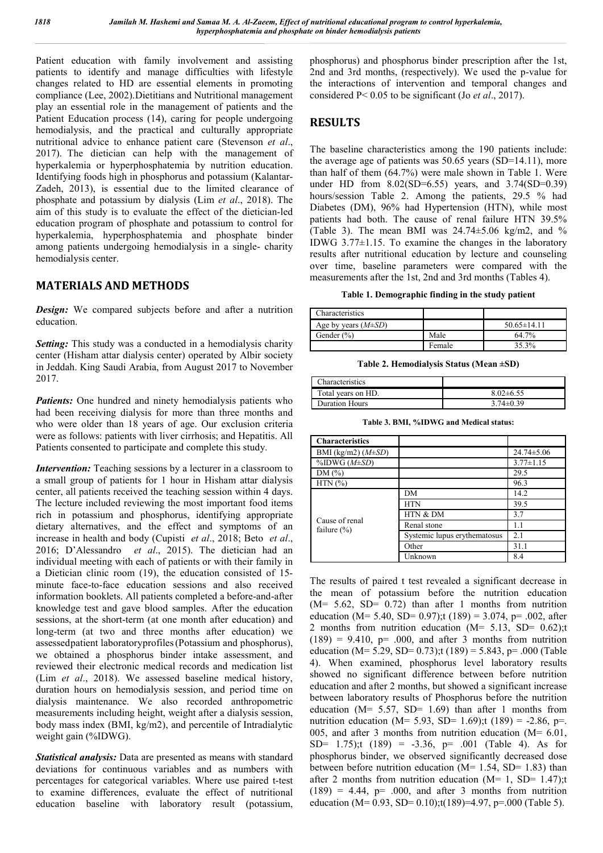Patient education with family involvement and assisting patients to identify and manage difficulties with lifestyle changes related to HD are essential elements in promoting compliance (Lee, 2002).Dietitians and Nutritional management play an essential role in the management of patients and the Patient Education process (14), caring for people undergoing hemodialysis, and the practical and culturally appropriate nutritional advice to enhance patient care (Stevenson *et al*., 2017). The dietician can help with the management of hyperkalemia or hyperphosphatemia by nutrition education. Identifying foods high in phosphorus and potassium (Kalantar-Zadeh, 2013), is essential due to the limited clearance of phosphate and potassium by dialysis (Lim *et al*., 2018). The aim of this study is to evaluate the effect of the dietician-led education program of phosphate and potassium to control for hyperkalemia, hyperphosphatemia and phosphate binder among patients undergoing hemodialysis in a single- charity hemodialysis center.

### **MATERIALS AND METHODS**

*Design:* We compared subjects before and after a nutrition education.

*Setting:* This study was a conducted in a hemodialysis charity center (Hisham attar dialysis center) operated by Albir society in Jeddah. King Saudi Arabia, from August 2017 to November 2017.

*Patients:* One hundred and ninety hemodialysis patients who had been receiving dialysis for more than three months and who were older than 18 years of age. Our exclusion criteria were as follows: patients with liver cirrhosis; and Hepatitis. All Patients consented to participate and complete this study.

*Intervention:* Teaching sessions by a lecturer in a classroom to a small group of patients for 1 hour in Hisham attar dialysis center, all patients received the teaching session within 4 days. The lecture included reviewing the most important food items rich in potassium and phosphorus, identifying appropriate dietary alternatives, and the effect and symptoms of an increase in health and body (Cupisti *et al*., 2018; Beto *et al*., 2016; D'Alessandro *et al*., 2015). The dietician had an individual meeting with each of patients or with their family in a Dietician clinic room (19), the education consisted of 15 minute face-to-face education sessions and also received information booklets. All patients completed a before-and-after knowledge test and gave blood samples. After the education sessions, at the short-term (at one month after education) and long-term (at two and three months after education) we assessedpatient laboratoryprofiles(Potassium and phosphorus), we obtained a phosphorus binder intake assessment, and reviewed their electronic medical records and medication list (Lim *et al*., 2018). We assessed baseline medical history, duration hours on hemodialysis session, and period time on dialysis maintenance. We also recorded anthropometric measurements including height, weight after a dialysis session, body mass index (BMI, kg/m2), and percentile of Intradialytic weight gain (%IDWG).

*Statistical analysis:* Data are presented as means with standard deviations for continuous variables and as numbers with percentages for categorical variables. Where use paired t-test to examine differences, evaluate the effect of nutritional education baseline with laboratory result (potassium,

phosphorus) and phosphorus binder prescription after the 1st, 2nd and 3rd months, (respectively). We used the p-value for the interactions of intervention and temporal changes and considered P< 0.05 to be significant (Jo *et al*., 2017).

### **RESULTS**

The baseline characteristics among the 190 patients include: the average age of patients was 50.65 years (SD=14.11), more than half of them (64.7%) were male shown in Table 1. Were under HD from  $8.02(SD=6.55)$  years, and  $3.74(SD=0.39)$ hours/session Table 2. Among the patients, 29.5 % had Diabetes (DM), 96% had Hypertension (HTN), while most patients had both. The cause of renal failure HTN 39.5% (Table 3). The mean BMI was  $24.74 \pm 5.06$  kg/m2, and % IDWG 3.77±1.15. To examine the changes in the laboratory results after nutritional education by lecture and counseling over time, baseline parameters were compared with the measurements after the 1st, 2nd and 3rd months (Tables 4).

**Table 1. Demographic finding in the study patient**

| Characteristics           |        |                   |
|---------------------------|--------|-------------------|
| Age by years $(M \pm SD)$ |        | $50.65 \pm 14.11$ |
| Gender $(\% )$            | Male   | 64.7%             |
|                           | Female | 35.3%             |

**Table 2. Hemodialysis Status (Mean ±SD)**

| Characteristics       |                 |
|-----------------------|-----------------|
| Total years on HD.    | $8.02\pm 6.55$  |
| <b>Duration Hours</b> | $3.74 \pm 0.39$ |

**Table 3. BMI, %IDWG and Medical status:**

| <b>Characteristics</b>            |                              |                  |
|-----------------------------------|------------------------------|------------------|
| BMI (kg/m2) $(M \pm SD)$          |                              | $24.74 \pm 5.06$ |
| $\%$ IDWG ( $M\pm SD$ )           |                              | $3.77 \pm 1.15$  |
| DM(%)                             |                              | 29.5             |
| $HTN$ $(\% )$                     |                              | 96.3             |
|                                   | DM                           | 14.2             |
|                                   | <b>HTN</b>                   | 39.5             |
|                                   | HTN & DM                     | 3.7              |
| Cause of renal<br>failure $(\% )$ | Renal stone                  | 1.1              |
|                                   | Systemic lupus erythematosus | 2.1              |
|                                   | Other                        | 31.1             |
|                                   | Unknown                      | 8.4              |

The results of paired t test revealed a significant decrease in the mean of potassium before the nutrition education  $(M= 5.62, SD= 0.72)$  than after 1 months from nutrition education (M= 5.40, SD= 0.97);t (189) = 3.074, p= .002, after 2 months from nutrition education  $(M= 5.13, SD= 0.62)$ ;t  $(189) = 9.410$ ,  $p = .000$ , and after 3 months from nutrition education (M= 5.29, SD= 0.73);t (189) = 5.843, p= .000 (Table 4). When examined, phosphorus level laboratory results showed no significant difference between before nutrition education and after 2 months, but showed a significant increase between laboratory results of Phosphorus before the nutrition education ( $M = 5.57$ ,  $SD = 1.69$ ) than after 1 months from nutrition education (M= 5.93, SD= 1.69);t (189) = -2.86, p=. 005, and after 3 months from nutrition education (M= 6.01, SD=  $1.75$ ;t  $(189) = -3.36$ , p=  $.001$  (Table 4). As for phosphorus binder, we observed significantly decreased dose between before nutrition education ( $M= 1.54$ , SD= 1.83) than after 2 months from nutrition education ( $M= 1$ , SD= 1.47);t  $(189) = 4.44$ , p= .000, and after 3 months from nutrition education (M= 0.93, SD= 0.10);t(189)=4.97, p=.000 (Table 5).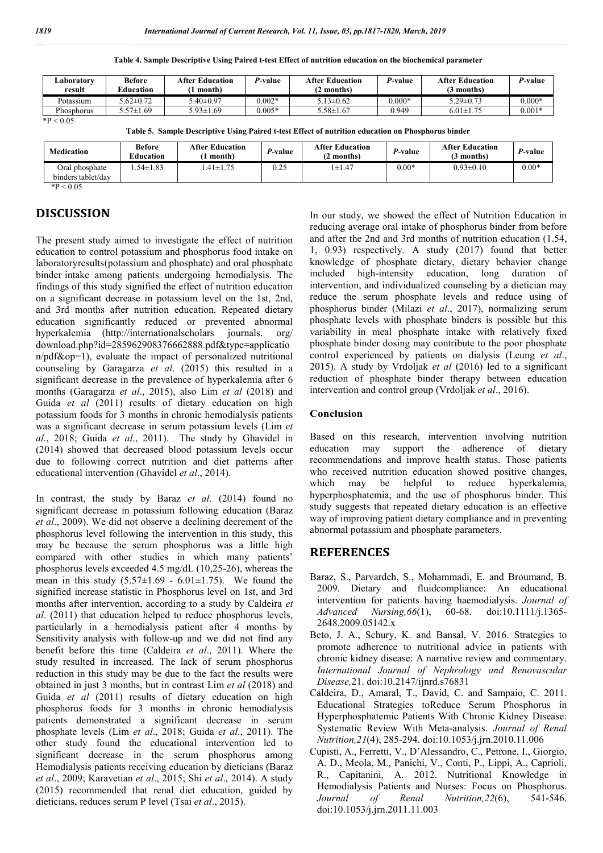| Laboratorv<br>result | <b>Before</b><br>Education | <b>After Education</b><br>month) | <i>P-</i> value | <b>After Education</b><br>(2 months) | <i>P-</i> value | <b>After Education</b><br>(3 months) | P-value  |
|----------------------|----------------------------|----------------------------------|-----------------|--------------------------------------|-----------------|--------------------------------------|----------|
| Potassium            | $5.62 \pm 0.72$            | $5.40 \pm 0.97$                  | $0.002*$        | $13\pm0.62$                          | $0.000*$        | $5.29 \pm 0.73$                      | $0.000*$ |
| Phosphorus           | $5.57 \pm 1.69$            | $5.93 \pm 1.69$                  | $0.005*$        | $5.58 \pm 1.67$                      | 0.949           | $6.01 \pm 1.75$                      | $0.001*$ |
| $*P < 0.05$          |                            |                                  |                 |                                      |                 |                                      |          |

**Table 4. Sample Descriptive Using Paired t-test Effect of nutrition education on the biochemical parameter**

**Table 5. Sample Descriptive Using Paired t-test Effect of nutrition education on Phosphorus binder**

| <b>Medication</b>                    | <b>Before</b><br>Education | <b>After Education</b><br>month) | P-value | <b>After Education</b><br>! months) | <i>P</i> -value | <b>After Education</b><br>(3 months) | P-value |
|--------------------------------------|----------------------------|----------------------------------|---------|-------------------------------------|-----------------|--------------------------------------|---------|
| Oral phosphate<br>binders tablet/day | $.54 \pm 1.83$             | $.41 \pm 1.75$                   | 0.25    | $1 \pm 1.47$                        | $0.00*$         | $0.93 \pm 0.10$                      | $0.00*$ |

 $*P < 0.05$ 

## **DISCUSSION**

The present study aimed to investigate the effect of nutrition education to control potassium and phosphorus food intake on laboratoryresults(potassium and phosphate) and oral phosphate binder intake among patients undergoing hemodialysis. The findings of this study signified the effect of nutrition education on a significant decrease in potassium level on the 1st, 2nd, and 3rd months after nutrition education. Repeated dietary education significantly reduced or prevented abnormal hyperkalemia (http://internationalscholars journals. org/ download.php?id=285962908376662888.pdf&type=applicatio n/pdf&op=1), evaluate the impact of personalized nutritional counseling by Garagarza *et al*. (2015) this resulted in a significant decrease in the prevalence of hyperkalemia after 6 months (Garagarza *et al*., 2015), also Lim *et al* (2018) and Guida *et al* (2011) results of dietary education on high potassium foods for 3 months in chronic hemodialysis patients was a significant decrease in serum potassium levels (Lim *et al*., 2018; Guida *et al*., 2011). The study by Ghavidel in (2014) showed that decreased blood potassium levels occur due to following correct nutrition and diet patterns after educational intervention (Ghavidel *et al*., 2014).

In contrast, the study by Baraz *et al*. (2014) found no significant decrease in potassium following education (Baraz *et al*., 2009). We did not observe a declining decrement of the phosphorus level following the intervention in this study, this may be because the serum phosphorus was a little high compared with other studies in which many patients' phosphorus levels exceeded 4.5 mg/dL (10,25-26), whereas the mean in this study  $(5.57 \pm 1.69 - 6.01 \pm 1.75)$ . We found the signified increase statistic in Phosphorus level on 1st, and 3rd months after intervention, according to a study by Caldeira *et al*. (2011) that education helped to reduce phosphorus levels, particularly in a hemodialysis patient after 4 months by Sensitivity analysis with follow-up and we did not find any benefit before this time (Caldeira *et al*., 2011). Where the study resulted in increased. The lack of serum phosphorus reduction in this study may be due to the fact the results were obtained in just 3 months, but in contrast Lim *et al* (2018) and Guida *et al* (2011) results of dietary education on high phosphorus foods for 3 months in chronic hemodialysis patients demonstrated a significant decrease in serum phosphate levels (Lim *et al*., 2018; Guida *et al*., 2011). The other study found the educational intervention led to significant decrease in the serum phosphorus among Hemodialysis patients receiving education by dieticians (Baraz *et al*., 2009; Karavetian *et al*., 2015; Shi *et al*., 2014). A study (2015) recommended that renal diet education, guided by dieticians, reduces serum P level (Tsai *et al*., 2015).

In our study, we showed the effect of Nutrition Education in reducing average oral intake of phosphorus binder from before and after the 2nd and 3rd months of nutrition education (1.54, 1, 0.93) respectively. A study (2017) found that better knowledge of phosphate dietary, dietary behavior change included high-intensity education, long duration of intervention, and individualized counseling by a dietician may reduce the serum phosphate levels and reduce using of phosphorus binder (Milazi *et al*., 2017), normalizing serum phosphate levels with phosphate binders is possible but this variability in meal phosphate intake with relatively fixed phosphate binder dosing may contribute to the poor phosphate control experienced by patients on dialysis (Leung *et al*., 2015). A study by Vrdoljak *et al* (2016) led to a significant reduction of phosphate binder therapy between education intervention and control group (Vrdoljak *et al*., 2016).

#### **Conclusion**

Based on this research, intervention involving nutrition education may support the adherence of dietary recommendations and improve health status. Those patients who received nutrition education showed positive changes, which may be helpful to reduce hyperkalemia, hyperphosphatemia, and the use of phosphorus binder. This study suggests that repeated dietary education is an effective way of improving patient dietary compliance and in preventing abnormal potassium and phosphate parameters.

### **REFERENCES**

- Baraz, S., Parvardeh, S., Mohammadi, E. and Broumand, B. 2009. Dietary and fluidcompliance: An educational intervention for patients having haemodialysis. *Journal of Advanced Nursing,66*(1), 60-68. doi:10.1111/j.1365- 2648.2009.05142.x
- Beto, J. A., Schury, K. and Bansal, V. 2016. Strategies to promote adherence to nutritional advice in patients with chronic kidney disease: A narrative review and commentary. *International Journal of Nephrology and Renovascular Disease,*21. doi:10.2147/ijnrd.s76831
- Caldeira, D., Amaral, T., David, C. and Sampaio, C. 2011. Educational Strategies toReduce Serum Phosphorus in Hyperphosphatemic Patients With Chronic Kidney Disease: Systematic Review With Meta-analysis. *Journal of Renal Nutrition,21*(4), 285-294. doi:10.1053/j.jrn.2010.11.006
- Cupisti, A., Ferretti, V., D'Alessandro, C., Petrone, I., Giorgio, A. D., Meola, M., Panichi, V., Conti, P., Lippi, A., Caprioli, R., Capitanini, A. 2012. Nutritional Knowledge in Hemodialysis Patients and Nurses: Focus on Phosphorus. *Journal of Renal Nutrition,22*(6), 541-546. doi:10.1053/j.jrn.2011.11.003